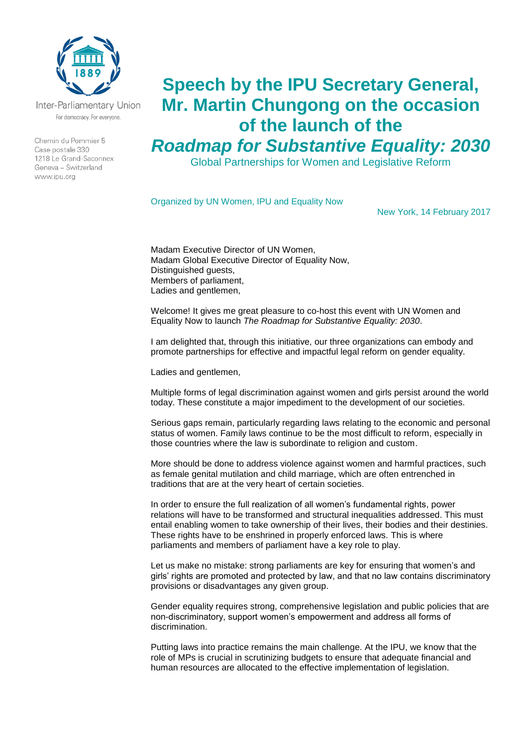

Inter-Parliamentary Union For democracy. For everyone.

Chemin du Pommier 5 Case postale 330 1218 Le Grand-Saconnex Geneva - Switzerland www.ipu.org

## **Speech by the IPU Secretary General, Mr. Martin Chungong on the occasion of the launch of the**

*Roadmap for Substantive Equality: 2030* 

Global Partnerships for Women and Legislative Reform

Organized by UN Women, IPU and Equality Now

New York, 14 February 2017

Madam Executive Director of UN Women, Madam Global Executive Director of Equality Now, Distinguished guests, Members of parliament, Ladies and gentlemen,

Welcome! It gives me great pleasure to co-host this event with UN Women and Equality Now to launch *The Roadmap for Substantive Equality: 2030*.

I am delighted that, through this initiative, our three organizations can embody and promote partnerships for effective and impactful legal reform on gender equality.

Ladies and gentlemen,

Multiple forms of legal discrimination against women and girls persist around the world today. These constitute a major impediment to the development of our societies.

Serious gaps remain, particularly regarding laws relating to the economic and personal status of women. Family laws continue to be the most difficult to reform, especially in those countries where the law is subordinate to religion and custom.

More should be done to address violence against women and harmful practices, such as female genital mutilation and child marriage, which are often entrenched in traditions that are at the very heart of certain societies.

In order to ensure the full realization of all women's fundamental rights, power relations will have to be transformed and structural inequalities addressed. This must entail enabling women to take ownership of their lives, their bodies and their destinies. These rights have to be enshrined in properly enforced laws. This is where parliaments and members of parliament have a key role to play.

Let us make no mistake: strong parliaments are key for ensuring that women's and girls' rights are promoted and protected by law, and that no law contains discriminatory provisions or disadvantages any given group.

Gender equality requires strong, comprehensive legislation and public policies that are non-discriminatory, support women's empowerment and address all forms of discrimination.

Putting laws into practice remains the main challenge. At the IPU, we know that the role of MPs is crucial in scrutinizing budgets to ensure that adequate financial and human resources are allocated to the effective implementation of legislation.